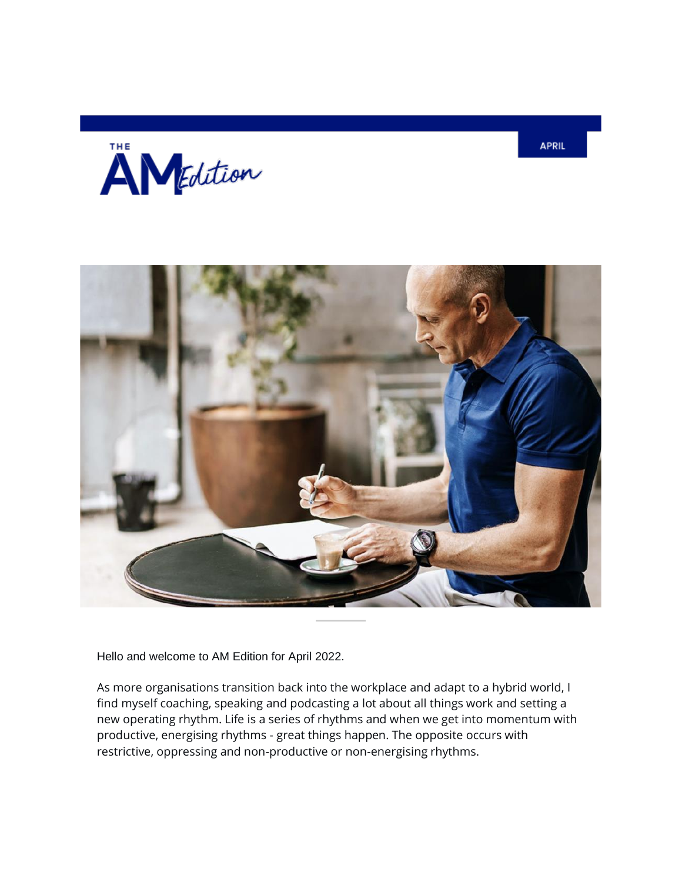



Hello and welcome to AM Edition for April 2022.

As more organisations transition back into the workplace and adapt to a hybrid world, I find myself coaching, speaking and podcasting a lot about all things work and setting a new operating rhythm. Life is a series of rhythms and when we get into momentum with productive, energising rhythms - great things happen. The opposite occurs with restrictive, oppressing and non-productive or non-energising rhythms.

**APRIL**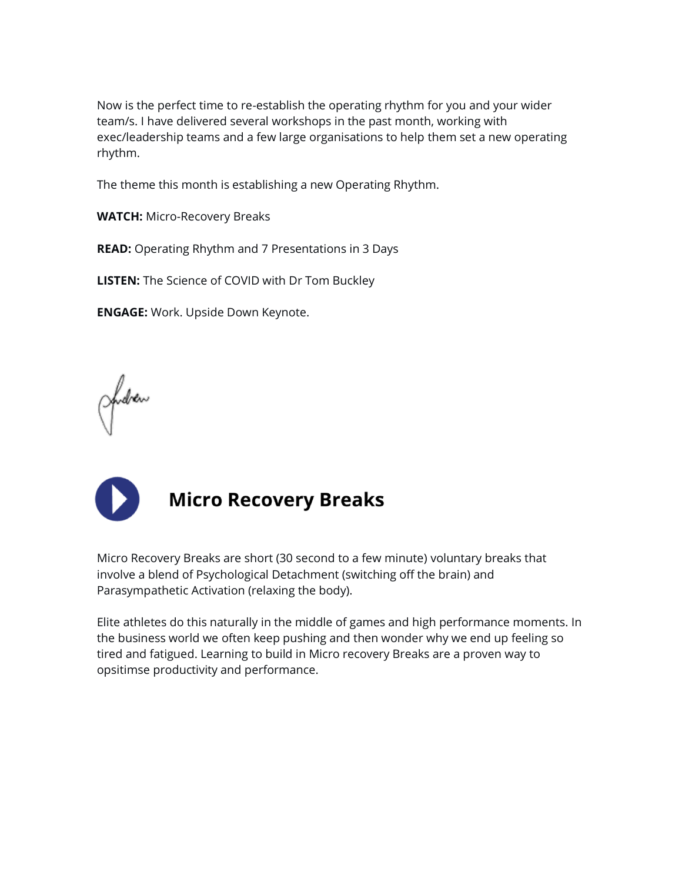Now is the perfect time to re-establish the operating rhythm for you and your wider team/s. I have delivered several workshops in the past month, working with exec/leadership teams and a few large organisations to help them set a new operating rhythm.

The theme this month is establishing a new Operating Rhythm.

**WATCH:** Micro-Recovery Breaks

**READ:** Operating Rhythm and 7 Presentations in 3 Days

**LISTEN:** The Science of COVID with Dr Tom Buckley

**ENGAGE:** Work. Upside Down Keynote.

Judrew



## **Micro Recovery Breaks**

Micro Recovery Breaks are short (30 second to a few minute) voluntary breaks that involve a blend of Psychological Detachment (switching off the brain) and Parasympathetic Activation (relaxing the body).

Elite athletes do this naturally in the middle of games and high performance moments. In the business world we often keep pushing and then wonder why we end up feeling so tired and fatigued. Learning to build in Micro recovery Breaks are a proven way to opsitimse productivity and performance.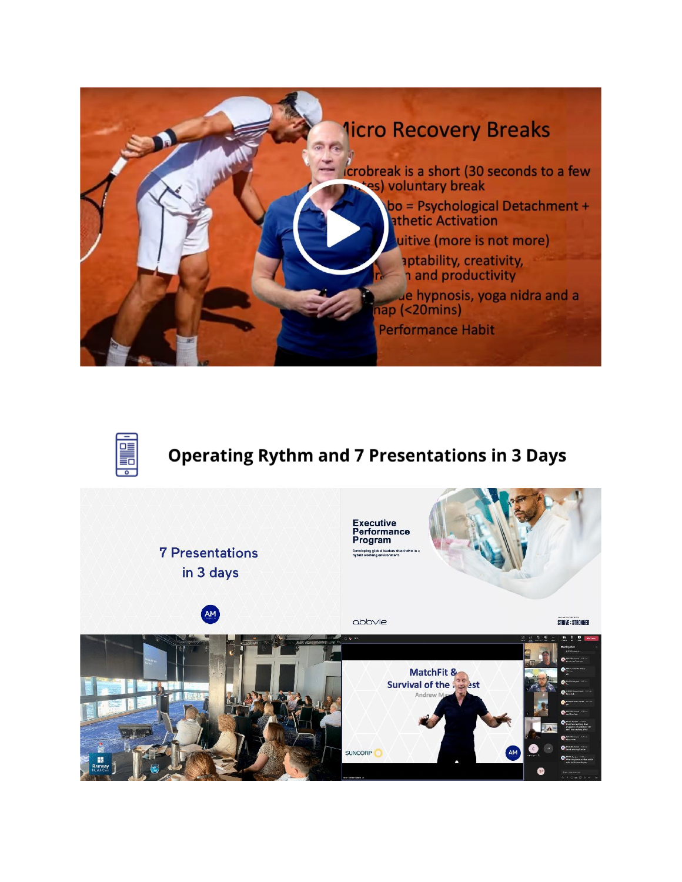



### **Operating Rythm and 7 Presentations in 3 Days**

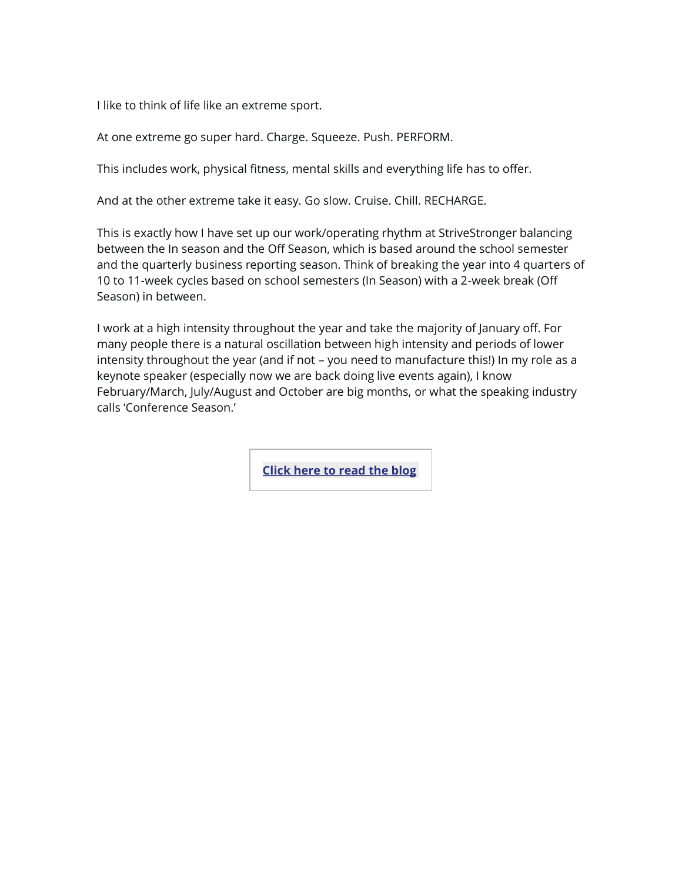I like to think of life like an extreme sport.

At one extreme go super hard. Charge. Squeeze. Push. PERFORM.

This includes work, physical fitness, mental skills and everything life has to offer.

And at the other extreme take it easy. Go slow. Cruise. Chill. RECHARGE.

This is exactly how I have set up our work/operating rhythm at StriveStronger balancing between the In season and the Off Season, which is based around the school semester and the quarterly business reporting season. Think of breaking the year into 4 quarters of 10 to 11-week cycles based on school semesters (In Season) with a 2-week break (Off Season) in between.

I work at a high intensity throughout the year and take the majority of January off. For many people there is a natural oscillation between high intensity and periods of lower intensity throughout the year (and if not – you need to manufacture this!) In my role as a keynote speaker (especially now we are back doing live events again), I know February/March, July/August and October are big months, or what the speaking industry calls 'Conference Season.'

**[Click](https://andrewmay.lt.acemlnb.com/Prod/link-tracker?notrack=1¬rack=1&redirectUrl=aHR0cHMlM0ElMkYlMkZ3d3cuYW5kcmV3bWF5LmNvbSUyRjctcHJlc2VudGF0aW9ucy1pbi0zLWRheXMlMkY=&sig=9NPeoCnxWotQh2vEr9bk9egeQ8pg78bbXQK9qjC9pUMs&iat=1650419519&a=%7C%7C1001112958%7C%7C&account=andrewmay%2Eactivehosted%2Ecom&email=LRRV6glqIfcVPcYsJBrMHi%2FZD%2BmsUFpJrc5fHf6IoVE%3D&s=bad97c655476f96a390a72c05a742011&i=95A72A5A575) here to read the blo[g](https://andrewmay.lt.acemlnb.com/Prod/link-tracker?notrack=1¬rack=1&redirectUrl=aHR0cHMlM0ElMkYlMkZ3d3cuYW5kcmV3bWF5LmNvbSUyRjctcHJlc2VudGF0aW9ucy1pbi0zLWRheXMlMkY=&sig=9NPeoCnxWotQh2vEr9bk9egeQ8pg78bbXQK9qjC9pUMs&iat=1650419519&a=%7C%7C1001112958%7C%7C&account=andrewmay%2Eactivehosted%2Ecom&email=LRRV6glqIfcVPcYsJBrMHi%2FZD%2BmsUFpJrc5fHf6IoVE%3D&s=bad97c655476f96a390a72c05a742011&i=95A72A5A575)**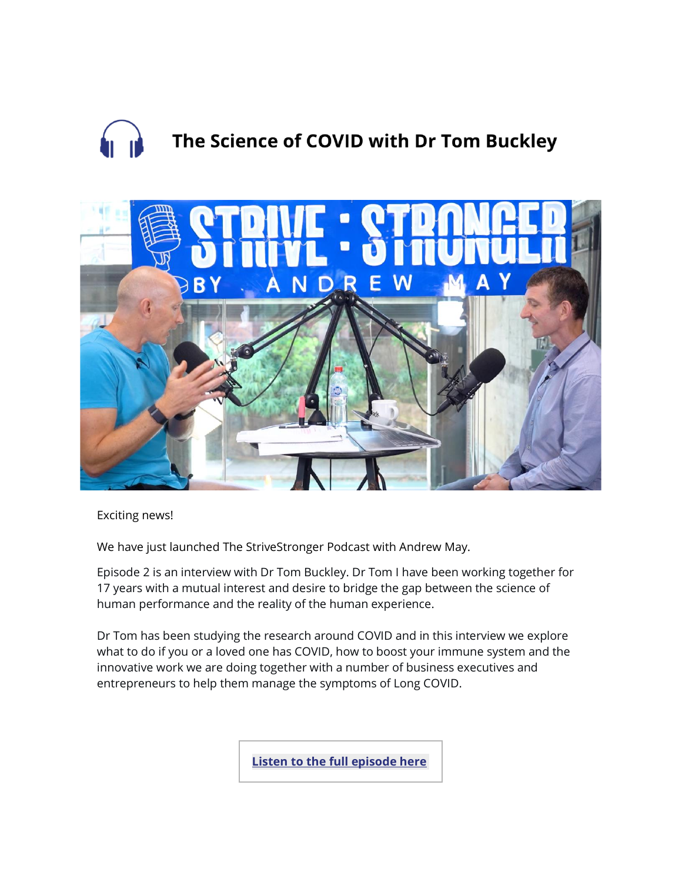# The Science of COVID with Dr Tom Buckley



Exciting news!

We have just launched The StriveStronger Podcast with Andrew May.

Episode 2 is an interview with Dr Tom Buckley. Dr Tom I have been working together for 17 years with a mutual interest and desire to bridge the gap between the science of human performance and the reality of the human experience.

Dr Tom has been studying the research around COVID and in this interview we explore what to do if you or a loved one has COVID, how to boost your immune system and the innovative work we are doing together with a number of business executives and entrepreneurs to help them manage the symptoms of Long COVID.

**Listen to the full [episode](https://andrewmay.lt.acemlnb.com/Prod/link-tracker?notrack=1¬rack=1&redirectUrl=aHR0cHMlM0ElMkYlMkZ3d3cuc3RyaXZlc3Ryb25nZXIuY29tJTJGcG9kY2FzdHMlMkZzdHJpdmVzdHJvbmdlci13aXRoLWFuZHJldy1tYXklMkZlcGlzb2RlcyUyRjIxNDc3MTU0NDk=&sig=9BjvY4fecBE5tN4YYpY2BLzjBZ9tMzueAxNErqRkCWnv&iat=1650419519&a=%7C%7C1001112958%7C%7C&account=andrewmay%2Eactivehosted%2Ecom&email=LRRV6glqIfcVPcYsJBrMHi%2FZD%2BmsUFpJrc5fHf6IoVE%3D&s=bad97c655476f96a390a72c05a742011&i=95A72A5A576) her[e](https://andrewmay.lt.acemlnb.com/Prod/link-tracker?notrack=1¬rack=1&redirectUrl=aHR0cHMlM0ElMkYlMkZ3d3cuc3RyaXZlc3Ryb25nZXIuY29tJTJGcG9kY2FzdHMlMkZzdHJpdmVzdHJvbmdlci13aXRoLWFuZHJldy1tYXklMkZlcGlzb2RlcyUyRjIxNDc3MTU0NDk=&sig=9BjvY4fecBE5tN4YYpY2BLzjBZ9tMzueAxNErqRkCWnv&iat=1650419519&a=%7C%7C1001112958%7C%7C&account=andrewmay%2Eactivehosted%2Ecom&email=LRRV6glqIfcVPcYsJBrMHi%2FZD%2BmsUFpJrc5fHf6IoVE%3D&s=bad97c655476f96a390a72c05a742011&i=95A72A5A576)**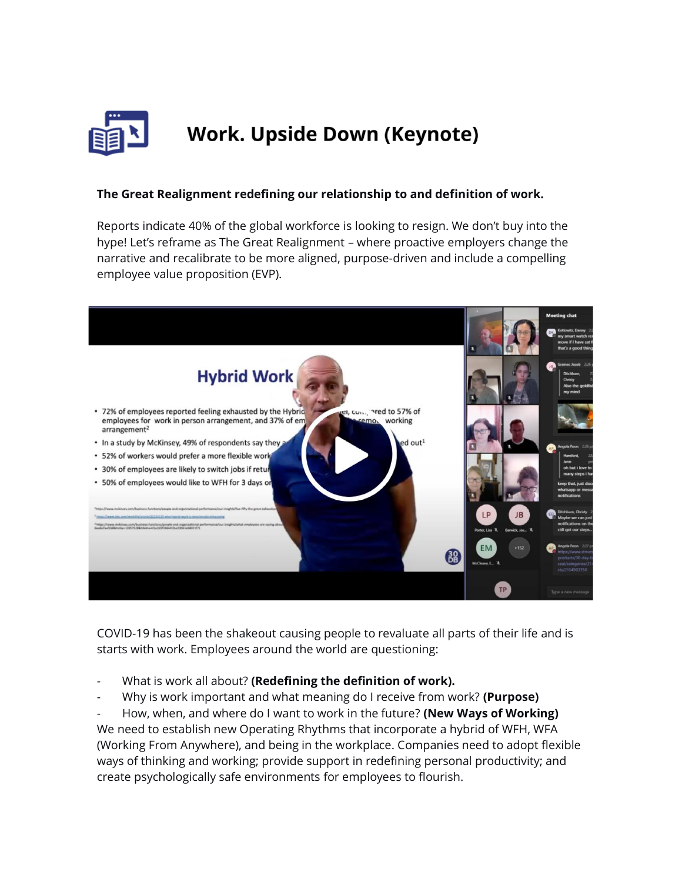

## **Work. Upside Down (Keynote)**

#### **The Great Realignment redefining our relationship to and definition of work.**

Reports indicate 40% of the global workforce is looking to resign. We don't buy into the hype! Let's reframe as The Great Realignment – where proactive employers change the narrative and recalibrate to be more aligned, purpose-driven and include a compelling employee value proposition (EVP).



COVID-19 has been the shakeout causing people to revaluate all parts of their life and is starts with work. Employees around the world are questioning:

- What is work all about? **(Redefining the definition of work).**
- Why is work important and what meaning do I receive from work? **(Purpose)**

- How, when, and where do I want to work in the future? **(New Ways of Working)** We need to establish new Operating Rhythms that incorporate a hybrid of WFH, WFA (Working From Anywhere), and being in the workplace. Companies need to adopt flexible ways of thinking and working; provide support in redefining personal productivity; and create psychologically safe environments for employees to flourish.